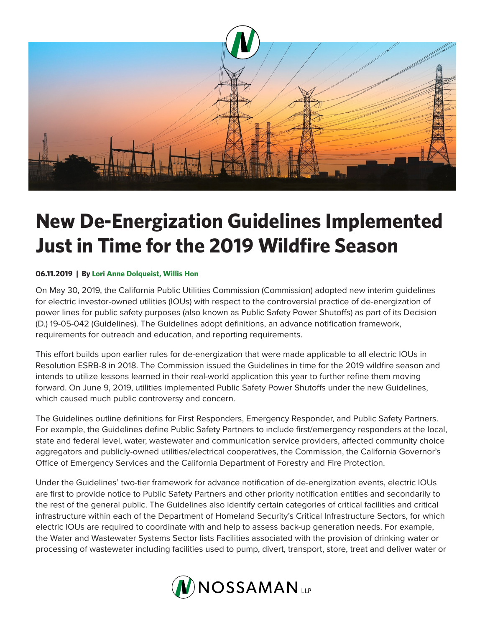

## **New De-Energization Guidelines Implemented Just in Time for the 2019 Wildfire Season**

## **06.11.2019 | By Lori Anne Dolqueist, Willis Hon**

On May 30, 2019, the California Public Utilities Commission (Commission) adopted new interim guidelines for electric investor-owned utilities (IOUs) with respect to the controversial practice of de-energization of power lines for public safety purposes (also known as Public Safety Power Shutoffs) as part of its Decision (D.) 19-05-042 (Guidelines). The Guidelines adopt definitions, an advance notification framework, requirements for outreach and education, and reporting requirements.

This effort builds upon earlier rules for de-energization that were made applicable to all electric IOUs in Resolution ESRB-8 in 2018. The Commission issued the Guidelines in time for the 2019 wildfire season and intends to utilize lessons learned in their real-world application this year to further refine them moving forward. On June 9, 2019, utilities implemented Public Safety Power Shutoffs under the new Guidelines, which caused much public controversy and concern.

The Guidelines outline definitions for First Responders, Emergency Responder, and Public Safety Partners. For example, the Guidelines define Public Safety Partners to include first/emergency responders at the local, state and federal level, water, wastewater and communication service providers, affected community choice aggregators and publicly-owned utilities/electrical cooperatives, the Commission, the California Governor's Office of Emergency Services and the California Department of Forestry and Fire Protection.

Under the Guidelines' two-tier framework for advance notification of de-energization events, electric IOUs are first to provide notice to Public Safety Partners and other priority notification entities and secondarily to the rest of the general public. The Guidelines also identify certain categories of critical facilities and critical infrastructure within each of the Department of Homeland Security's Critical Infrastructure Sectors, for which electric IOUs are required to coordinate with and help to assess back-up generation needs. For example, the Water and Wastewater Systems Sector lists Facilities associated with the provision of drinking water or processing of wastewater including facilities used to pump, divert, transport, store, treat and deliver water or